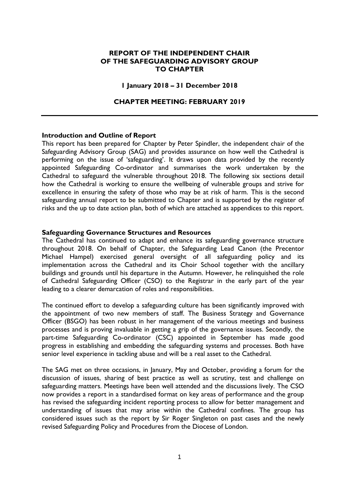# **REPORT OF THE INDEPENDENT CHAIR OF THE SAFEGUARDING ADVISORY GROUP TO CHAPTER**

#### **1 January 2018 – 31 December 2018**

#### **CHAPTER MEETING: FEBRUARY 2019**

#### **Introduction and Outline of Report**

This report has been prepared for Chapter by Peter Spindler, the independent chair of the Safeguarding Advisory Group (SAG) and provides assurance on how well the Cathedral is performing on the issue of 'safeguarding'. It draws upon data provided by the recently appointed Safeguarding Co-ordinator and summarises the work undertaken by the Cathedral to safeguard the vulnerable throughout 2018. The following six sections detail how the Cathedral is working to ensure the wellbeing of vulnerable groups and strive for excellence in ensuring the safety of those who may be at risk of harm. This is the second safeguarding annual report to be submitted to Chapter and is supported by the register of risks and the up to date action plan, both of which are attached as appendices to this report.

#### **Safeguarding Governance Structures and Resources**

The Cathedral has continued to adapt and enhance its safeguarding governance structure throughout 2018. On behalf of Chapter, the Safeguarding Lead Canon (the Precentor Michael Hampel) exercised general oversight of all safeguarding policy and its implementation across the Cathedral and its Choir School together with the ancillary buildings and grounds until his departure in the Autumn. However, he relinquished the role of Cathedral Safeguarding Officer (CSO) to the Registrar in the early part of the year leading to a clearer demarcation of roles and responsibilities.

The continued effort to develop a safeguarding culture has been significantly improved with the appointment of two new members of staff. The Business Strategy and Governance Officer (BSGO) has been robust in her management of the various meetings and business processes and is proving invaluable in getting a grip of the governance issues. Secondly, the part-time Safeguarding Co-ordinator (CSC) appointed in September has made good progress in establishing and embedding the safeguarding systems and processes. Both have senior level experience in tackling abuse and will be a real asset to the Cathedral.

The SAG met on three occasions, in January, May and October, providing a forum for the discussion of issues, sharing of best practice as well as scrutiny, test and challenge on safeguarding matters. Meetings have been well attended and the discussions lively. The CSO now provides a report in a standardised format on key areas of performance and the group has revised the safeguarding incident reporting process to allow for better management and understanding of issues that may arise within the Cathedral confines. The group has considered issues such as the report by Sir Roger Singleton on past cases and the newly revised Safeguarding Policy and Procedures from the Diocese of London.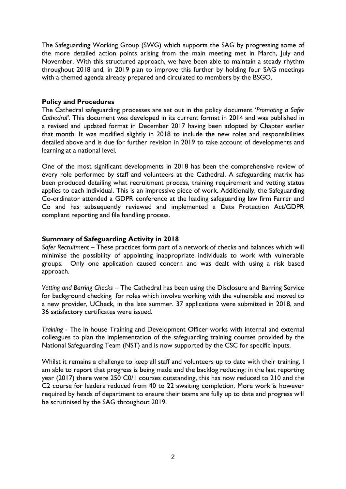The Safeguarding Working Group (SWG) which supports the SAG by progressing some of the more detailed action points arising from the main meeting met in March, July and November. With this structured approach, we have been able to maintain a steady rhythm throughout 2018 and, in 2019 plan to improve this further by holding four SAG meetings with a themed agenda already prepared and circulated to members by the BSGO.

# **Policy and Procedures**

The Cathedral safeguarding processes are set out in the policy document '*Promoting a Safer Cathedral'*. This document was developed in its current format in 2014 and was published in a revised and updated format in December 2017 having been adopted by Chapter earlier that month. It was modified slightly in 2018 to include the new roles and responsibilities detailed above and is due for further revision in 2019 to take account of developments and learning at a national level.

One of the most significant developments in 2018 has been the comprehensive review of every role performed by staff and volunteers at the Cathedral. A safeguarding matrix has been produced detailing what recruitment process, training requirement and vetting status applies to each individual. This is an impressive piece of work. Additionally, the Safeguarding Co-ordinator attended a GDPR conference at the leading safeguarding law firm Farrer and Co and has subsequently reviewed and implemented a Data Protection Act/GDPR compliant reporting and file handling process.

## **Summary of Safeguarding Activity in 2018**

*Safer Recruitment* – These practices form part of a network of checks and balances which will minimise the possibility of appointing inappropriate individuals to work with vulnerable groups. Only one application caused concern and was dealt with using a risk based approach.

*Vetting and Barring Checks* – The Cathedral has been using the Disclosure and Barring Service for background checking for roles which involve working with the vulnerable and moved to a new provider, UCheck, in the late summer. 37 applications were submitted in 2018, and 36 satisfactory certificates were issued.

*Training* - The in house Training and Development Officer works with internal and external colleagues to plan the implementation of the safeguarding training courses provided by the National Safeguarding Team (NST) and is now supported by the CSC for specific inputs.

Whilst it remains a challenge to keep all staff and volunteers up to date with their training, I am able to report that progress is being made and the backlog reducing; in the last reporting year (2017) there were 250 C0/1 courses outstanding, this has now reduced to 210 and the C2 course for leaders reduced from 40 to 22 awaiting completion. More work is however required by heads of department to ensure their teams are fully up to date and progress will be scrutinised by the SAG throughout 2019.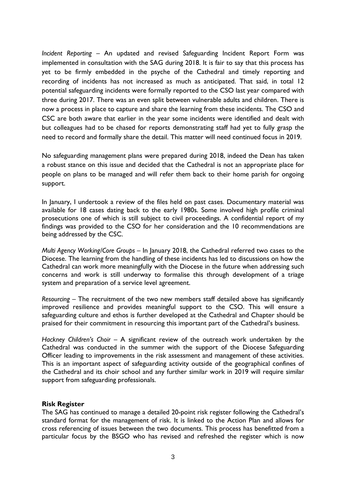*Incident Reporting* – An updated and revised Safeguarding Incident Report Form was implemented in consultation with the SAG during 2018. It is fair to say that this process has yet to be firmly embedded in the psyche of the Cathedral and timely reporting and recording of incidents has not increased as much as anticipated. That said, in total 12 potential safeguarding incidents were formally reported to the CSO last year compared with three during 2017. There was an even split between vulnerable adults and children. There is now a process in place to capture and share the learning from these incidents. The CSO and CSC are both aware that earlier in the year some incidents were identified and dealt with but colleagues had to be chased for reports demonstrating staff had yet to fully grasp the need to record and formally share the detail. This matter will need continued focus in 2019.

No safeguarding management plans were prepared during 2018, indeed the Dean has taken a robust stance on this issue and decided that the Cathedral is not an appropriate place for people on plans to be managed and will refer them back to their home parish for ongoing support.

In January, I undertook a review of the files held on past cases. Documentary material was available for 18 cases dating back to the early 1980s. Some involved high profile criminal prosecutions one of which is still subject to civil proceedings. A confidential report of my findings was provided to the CSO for her consideration and the 10 recommendations are being addressed by the CSC.

*Multi Agency Working/Core Groups* – In January 2018, the Cathedral referred two cases to the Diocese. The learning from the handling of these incidents has led to discussions on how the Cathedral can work more meaningfully with the Diocese in the future when addressing such concerns and work is still underway to formalise this through development of a triage system and preparation of a service level agreement.

*Resourcing –* The recruitment of the two new members staff detailed above has significantly improved resilience and provides meaningful support to the CSO. This will ensure a safeguarding culture and ethos is further developed at the Cathedral and Chapter should be praised for their commitment in resourcing this important part of the Cathedral's business.

*Hackney Children's Choir –* A significant review of the outreach work undertaken by the Cathedral was conducted in the summer with the support of the Diocese Safeguarding Officer leading to improvements in the risk assessment and management of these activities. This is an important aspect of safeguarding activity outside of the geographical confines of the Cathedral and its choir school and any further similar work in 2019 will require similar support from safeguarding professionals.

# **Risk Register**

The SAG has continued to manage a detailed 20-point risk register following the Cathedral's standard format for the management of risk. It is linked to the Action Plan and allows for cross referencing of issues between the two documents. This process has benefitted from a particular focus by the BSGO who has revised and refreshed the register which is now